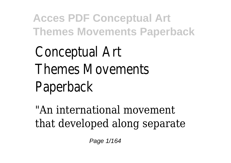Conceptual Art Themes Movements Paperback

"An international movement that developed along separate

Page 1/164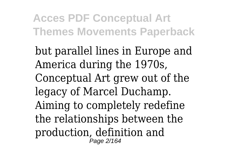but parallel lines in Europe and America during the 1970s, Conceptual Art grew out of the legacy of Marcel Duchamp. Aiming to completely redefine the relationships between the production, definition and Page 2/164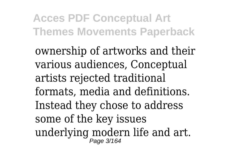ownership of artworks and their various audiences, Conceptual artists rejected traditional formats, media and definitions. Instead they chose to address some of the key issues underlying modern life and art. Page 3/164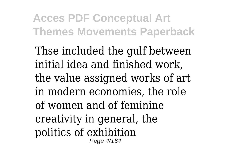Thse included the gulf between initial idea and finished work, the value assigned works of art in modern economies, the role of women and of feminine creativity in general, the politics of exhibition Page 4/164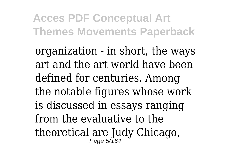organization - in short, the ways art and the art world have been defined for centuries. Among the notable figures whose work is discussed in essays ranging from the evaluative to the theoretical are Judy Chicago, Page 5/164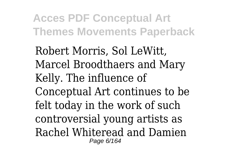Robert Morris, Sol LeWitt, Marcel Broodthaers and Mary Kelly. The influence of Conceptual Art continues to be felt today in the work of such controversial young artists as Rachel Whiteread and Damien Page 6/164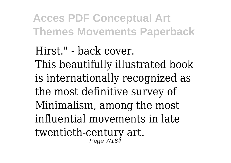Hirst." - back cover. This beautifully illustrated book is internationally recognized as the most definitive survey of Minimalism, among the most influential movements in late twentieth-century art.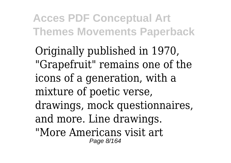Originally published in 1970, "Grapefruit" remains one of the icons of a generation, with a mixture of poetic verse, drawings, mock questionnaires, and more. Line drawings. "More Americans visit art Page 8/164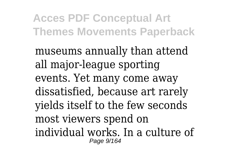museums annually than attend all major-league sporting events. Yet many come away dissatisfied, because art rarely yields itself to the few seconds most viewers spend on individual works. In a culture of Page 9/164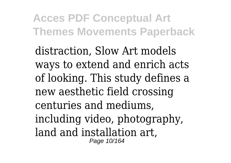distraction, Slow Art models ways to extend and enrich acts of looking. This study defines a new aesthetic field crossing centuries and mediums, including video, photography, land and installation art, Page 10/164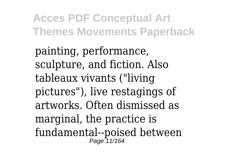painting, performance, sculpture, and fiction. Also tableaux vivants ("living pictures"), live restagings of artworks. Often dismissed as marginal, the practice is fundamental--poised between Page 11/164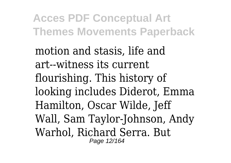motion and stasis, life and art--witness its current flourishing. This history of looking includes Diderot, Emma Hamilton, Oscar Wilde, Jeff Wall, Sam Taylor-Johnson, Andy Warhol, Richard Serra. But Page 12/164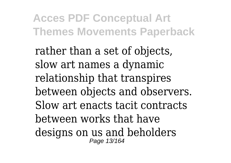rather than a set of objects, slow art names a dynamic relationship that transpires between objects and observers. Slow art enacts tacit contracts between works that have designs on us and beholders Page 13/164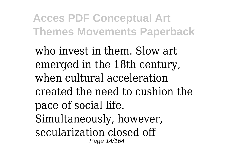who invest in them. Slow art emerged in the 18th century, when cultural acceleration created the need to cushion the pace of social life. Simultaneously, however, secularization closed off Page 14/164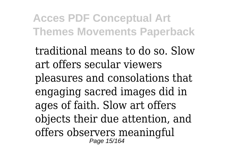traditional means to do so. Slow art offers secular viewers pleasures and consolations that engaging sacred images did in ages of faith. Slow art offers objects their due attention, and offers observers meaningful Page 15/164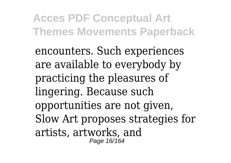encounters. Such experiences are available to everybody by practicing the pleasures of lingering. Because such opportunities are not given, Slow Art proposes strategies for artists, artworks, and Page 16/164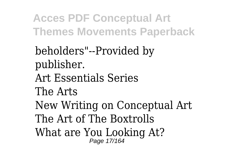beholders"--Provided by publisher. Art Essentials Series The Arts New Writing on Conceptual Art The Art of The Boxtrolls What are You Looking At? Page 17/164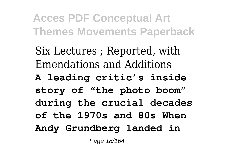Six Lectures ; Reported, with Emendations and Additions **A leading critic's inside story of "the photo boom" during the crucial decades of the 1970s and 80s When Andy Grundberg landed in**

Page 18/164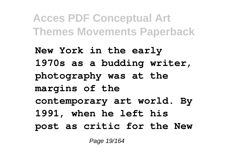**New York in the early 1970s as a budding writer, photography was at the margins of the contemporary art world. By 1991, when he left his post as critic for the New**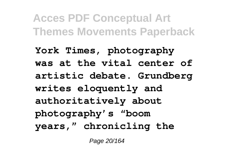**York Times, photography was at the vital center of artistic debate. Grundberg writes eloquently and authoritatively about photography's "boom years," chronicling the**

Page 20/164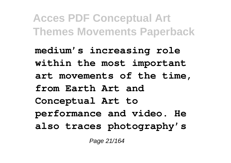**medium's increasing role within the most important art movements of the time, from Earth Art and Conceptual Art to performance and video. He also traces photography's**

Page 21/164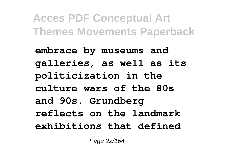**embrace by museums and galleries, as well as its politicization in the culture wars of the 80s and 90s. Grundberg reflects on the landmark exhibitions that defined**

Page 22/164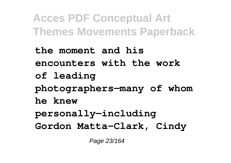**the moment and his encounters with the work of leading photographers—many of whom he knew personally—including Gordon Matta-Clark, Cindy**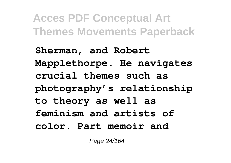**Sherman, and Robert Mapplethorpe. He navigates crucial themes such as photography's relationship to theory as well as feminism and artists of color. Part memoir and**

Page 24/164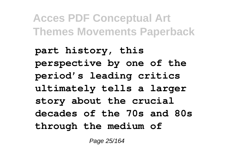**part history, this perspective by one of the period's leading critics ultimately tells a larger story about the crucial decades of the 70s and 80s through the medium of**

Page 25/164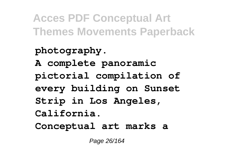**photography. A complete panoramic pictorial compilation of every building on Sunset Strip in Los Angeles, California. Conceptual art marks a**

Page 26/164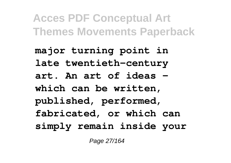**major turning point in late twentieth-century art. An art of ideas which can be written, published, performed, fabricated, or which can simply remain inside your**

Page 27/164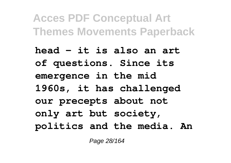**head - it is also an art of questions. Since its emergence in the mid 1960s, it has challenged our precepts about not only art but society, politics and the media. An**

Page 28/164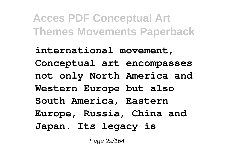**international movement, Conceptual art encompasses not only North America and Western Europe but also South America, Eastern Europe, Russia, China and Japan. Its legacy is**

Page 29/164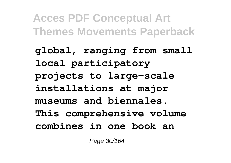**global, ranging from small local participatory projects to large-scale installations at major museums and biennales. This comprehensive volume combines in one book an**

Page 30/164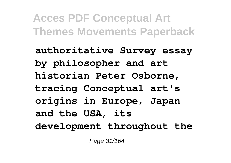**authoritative Survey essay by philosopher and art historian Peter Osborne, tracing Conceptual art's origins in Europe, Japan and the USA, its development throughout the**

Page 31/164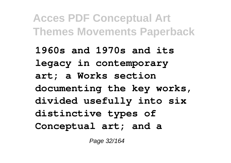**1960s and 1970s and its legacy in contemporary art; a Works section documenting the key works, divided usefully into six distinctive types of Conceptual art; and a**

Page 32/164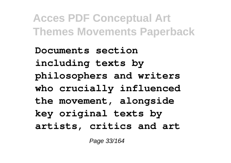**Documents section including texts by philosophers and writers who crucially influenced the movement, alongside key original texts by artists, critics and art**

Page 33/164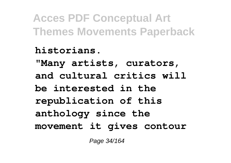**historians. "Many artists, curators, and cultural critics will be interested in the republication of this anthology since the movement it gives contour**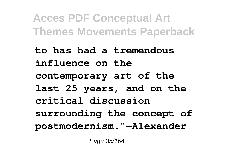**to has had a tremendous influence on the contemporary art of the last 25 years, and on the critical discussion surrounding the concept of postmodernism."—Alexander**

Page 35/164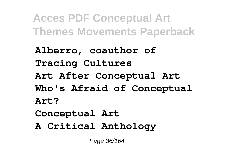**Alberro, coauthor of Tracing Cultures Art After Conceptual Art Who's Afraid of Conceptual Art? Conceptual Art**

**A Critical Anthology**

Page 36/164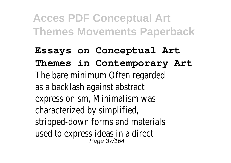**Essays on Conceptual Art Themes in Contemporary Art** The bare minimum Often regarded as a backlash against abstract expressionism, Minimalism was characterized by simplified, stripped-down forms and materials used to express ideas in a direct<br> $P_{\text{Page 37/164}}$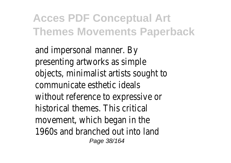and impersonal manner. By presenting artworks as simple objects, minimalist artists sought to communicate esthetic ideals without reference to expressive or historical themes. This critical movement, which began in the 1960s and branched out into land Page 38/164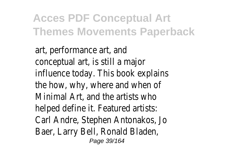art, performance art, and conceptual art, is still a major influence today. This book explains the how, why, where and when of Minimal Art, and the artists who helped define it. Featured artists: Carl Andre, Stephen Antonakos, Jo Baer, Larry Bell, Ronald Bladen, Page 39/164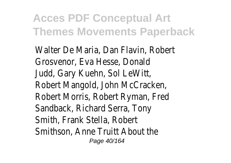Walter De Maria, Dan Flavin, Robert Grosvenor, Eva Hesse, Donald Judd, Gary Kuehn, Sol LeWitt, Robert Mangold, John McCracken, Robert Morris, Robert Ryman, Fred Sandback, Richard Serra, Tony Smith, Frank Stella, Robert Smithson, Anne Truitt About the Page 40/164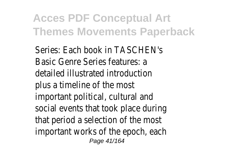Series: Each book in TASCHEN's Basic Genre Series features: a detailed illustrated introduction plus a timeline of the most important political, cultural and social events that took place during that period a selection of the most important works of the epoch, each Page 41/164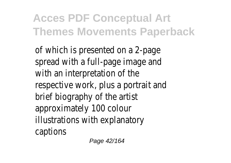of which is presented on a 2-page spread with a full-page image and with an interpretation of the respective work, plus a portrait and brief biography of the artist approximately 100 colour illustrations with explanatory captions

Page 42/164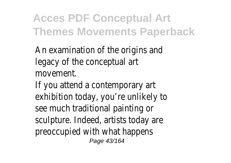An examination of the origins and legacy of the conceptual art movement.

If you attend a contemporary art exhibition today, you're unlikely to see much traditional painting or sculpture. Indeed, artists today are preoccupied with what happens Page 43/164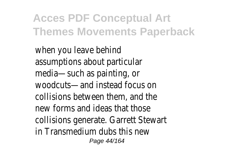when you leave behind assumptions about particular media—such as painting, or woodcuts—and instead focus on collisions between them, and the new forms and ideas that those collisions generate. Garrett Stewart in Transmedium dubs this new Page 44/164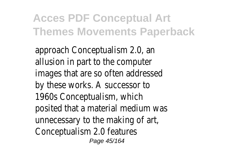approach Conceptualism 2.0, an allusion in part to the computer images that are so often addressed by these works. A successor to 1960s Conceptualism, which posited that a material medium was unnecessary to the making of art, Conceptualism 2.0 features Page 45/164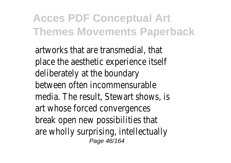artworks that are transmedial, that place the aesthetic experience itself deliberately at the boundary between often incommensurable media. The result, Stewart shows, is art whose forced convergences break open new possibilities that are wholly surprising, intellectually Page 46/164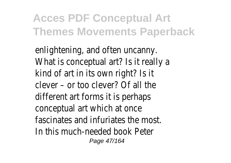enlightening, and often uncanny. What is conceptual art? Is it really a kind of art in its own right? Is it clever – or too clever? Of all the different art forms it is perhaps conceptual art which at once fascinates and infuriates the most. In this much-needed book Peter Page 47/164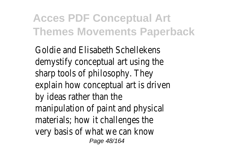Goldie and Elisabeth Schellekens demystify conceptual art using the sharp tools of philosophy. They explain how conceptual art is driven by ideas rather than the manipulation of paint and physical materials; how it challenges the very basis of what we can know Page 48/164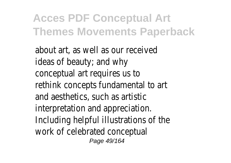about art, as well as our received ideas of beauty; and why conceptual art requires us to rethink concepts fundamental to art and aesthetics, such as artistic interpretation and appreciation. Including helpful illustrations of the work of celebrated conceptual Page 49/164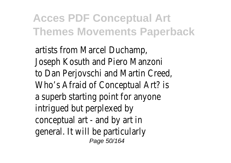artists from Marcel Duchamp, Joseph Kosuth and Piero Manzoni to Dan Perjovschi and Martin Creed, Who's Afraid of Conceptual Art? is a superb starting point for anyone intrigued but perplexed by conceptual art - and by art in general. It will be particularly Page 50/164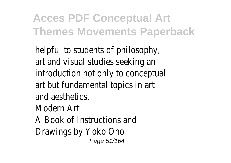helpful to students of philosophy, art and visual studies seeking an introduction not only to conceptual art but fundamental topics in art and aesthetics. Modern Art A Book of Instructions and Drawings by Yoko Ono Page 51/164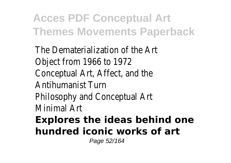The Dematerialization of the Art Object from 1966 to 1972 Conceptual Art, Affect, and the Antihumanist Turn Philosophy and Conceptual Art Minimal Art **Explores the ideas behind one hundred iconic works of art** Page 52/164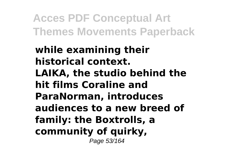**while examining their historical context. LAIKA, the studio behind the hit films Coraline and ParaNorman, introduces audiences to a new breed of family: the Boxtrolls, a community of quirky,** Page 53/164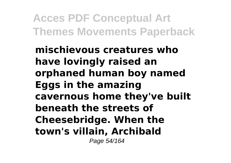**mischievous creatures who have lovingly raised an orphaned human boy named Eggs in the amazing cavernous home they've built beneath the streets of Cheesebridge. When the town's villain, Archibald** Page 54/164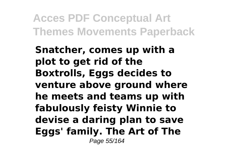**Snatcher, comes up with a plot to get rid of the Boxtrolls, Eggs decides to venture above ground where he meets and teams up with fabulously feisty Winnie to devise a daring plan to save Eggs' family. The Art of The** Page 55/164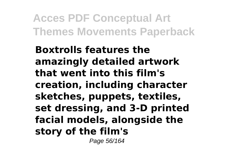**Boxtrolls features the amazingly detailed artwork that went into this film's creation, including character sketches, puppets, textiles, set dressing, and 3-D printed facial models, alongside the story of the film's**

Page 56/164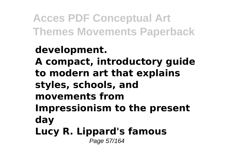#### **development. A compact, introductory guide to modern art that explains styles, schools, and movements from Impressionism to the present day Lucy R. Lippard's famous** Page 57/164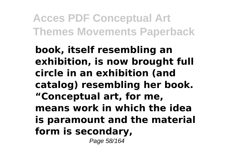**book, itself resembling an exhibition, is now brought full circle in an exhibition (and catalog) resembling her book. "Conceptual art, for me, means work in which the idea is paramount and the material form is secondary,**

Page 58/164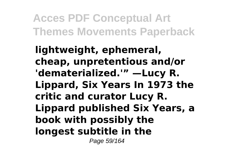**lightweight, ephemeral, cheap, unpretentious and/or 'dematerialized.'" —Lucy R. Lippard, Six Years In 1973 the critic and curator Lucy R. Lippard published Six Years, a book with possibly the longest subtitle in the**

Page 59/164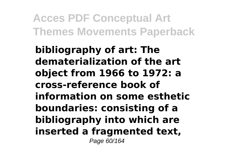**bibliography of art: The dematerialization of the art object from 1966 to 1972: a cross-reference book of information on some esthetic boundaries: consisting of a bibliography into which are inserted a fragmented text,** Page 60/164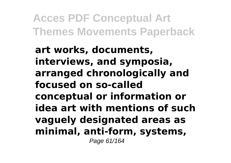**art works, documents, interviews, and symposia, arranged chronologically and focused on so-called conceptual or information or idea art with mentions of such vaguely designated areas as minimal, anti-form, systems,** Page 61/164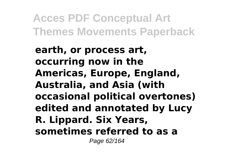**earth, or process art, occurring now in the Americas, Europe, England, Australia, and Asia (with occasional political overtones) edited and annotated by Lucy R. Lippard. Six Years, sometimes referred to as a** Page 62/164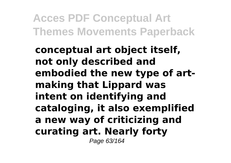**conceptual art object itself, not only described and embodied the new type of artmaking that Lippard was intent on identifying and cataloging, it also exemplified a new way of criticizing and curating art. Nearly forty** Page 63/164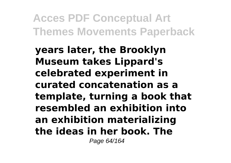**years later, the Brooklyn Museum takes Lippard's celebrated experiment in curated concatenation as a template, turning a book that resembled an exhibition into an exhibition materializing the ideas in her book. The** Page 64/164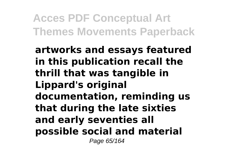**artworks and essays featured in this publication recall the thrill that was tangible in Lippard's original documentation, reminding us that during the late sixties and early seventies all possible social and material** Page 65/164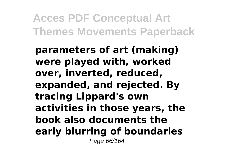**parameters of art (making) were played with, worked over, inverted, reduced, expanded, and rejected. By tracing Lippard's own activities in those years, the book also documents the early blurring of boundaries** Page 66/164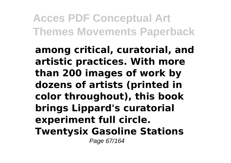**among critical, curatorial, and artistic practices. With more than 200 images of work by dozens of artists (printed in color throughout), this book brings Lippard's curatorial experiment full circle. Twentysix Gasoline Stations** Page 67/164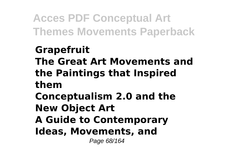#### **Grapefruit The Great Art Movements and the Paintings that Inspired them Conceptualism 2.0 and the New Object Art A Guide to Contemporary**

**Ideas, Movements, and**

Page 68/164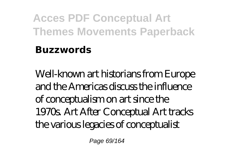#### **Buzzwords**

Well-known art historians from Europe and the Americas discuss the influence of conceptualism on art since the 1970s. Art After Conceptual Art tracks the various legacies of conceptualist

Page 69/164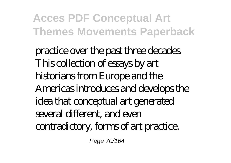practice over the past three decades. This collection of essays by art historians from Europe and the Americas introduces and develops the idea that conceptual art generated several different, and even contradictory, forms of art practice.

Page 70/164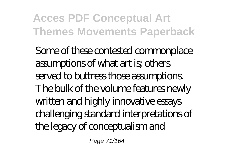Some of these contested commonplace assumptions of what art is; others served to buttress those assumptions. The bulk of the volume features newly written and highly innovative essays challenging standard interpretations of the legacy of conceptualism and

Page 71/164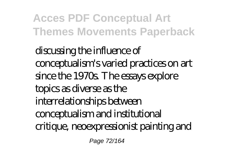discussing the influence of conceptualism's varied practices on art since the 1970s. The essays explore topics as diverse as the interrelationships between conceptualism and institutional critique, neoexpressionist painting and

Page 72/164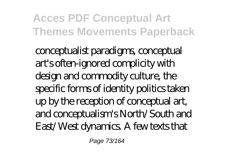conceptualist paradigms, conceptual art's often-ignored complicity with design and commodity culture, the specific forms of identity politics taken up by the reception of conceptual art, and conceptualism's North/South and East/West dynamics. A few texts that

Page 73/164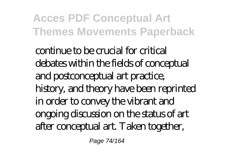continue to be crucial for critical debates within the fields of conceptual and postconceptual art practice, history, and theory have been reprinted in order to convey the vibrant and ongoing discussion on the status of art after conceptual art. Taken together,

Page 74/164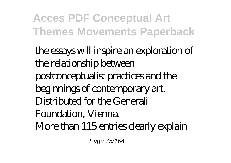the essays will inspire an exploration of the relationship between postconceptualist practices and the beginnings of contemporary art. Distributed for the Generali Foundation, Vienna. More than 115 entries clearly explain

Page 75/164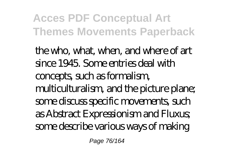the who, what, when, and where of art since 1945. Some entries deal with concepts, such as formalism, multiculturalism, and the picture plane; some discuss specific movements, such as Abstract Expressionism and Fluxus; some describe various ways of making

Page 76/164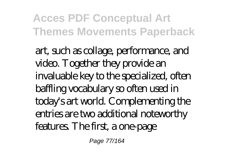art, such as collage, performance, and video. Together they provide an invaluable key to the specialized, often baffling vocabulary so often used in today's art world. Complementing the entries are two additional noteworthy features. The first, a one-page

Page 77/164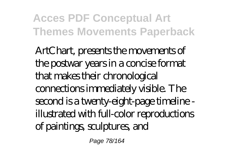ArtChart, presents the movements of the postwar years in a concise format that makes their chronological connections immediately visible. The second is a twenty-eight-page timeline illustrated with full-color reproductions of paintings, sculptures, and

Page 78/164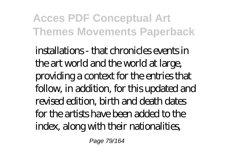installations - that chronicles events in the art world and the world at large, providing a context for the entries that follow, in addition, for this updated and revised edition, birth and death dates for the artists have been added to the index, along with their nationalities,

Page 79/164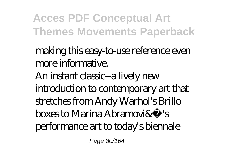making this easy-to-use reference even more informative. An instant classic--a lively new introduction to contemporary art that stretches from Andy Warhol's Brillo boxes to Marina Abramovi & S performance art to today's biennale

Page 80/164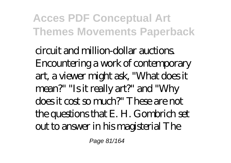circuit and million-dollar auctions. Encountering a work of contemporary art, a viewer might ask, "What does it mean?" "Is it really art?" and "Why does it cost so much?" These are not the questions that E. H. Gombrich set out to answer in his magisterial The

Page 81/164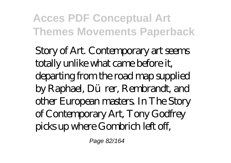Story of Art. Contemporary art seems totally unlike what came before it, departing from the road map supplied by Raphael, Dürer, Rembrandt, and other European masters. In The Story of Contemporary Art, Tony Godfrey picks up where Gombrich left off,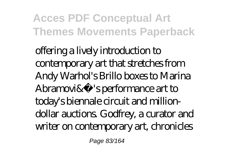offering a lively introduction to contemporary art that stretches from Andy Warhol's Brillo boxes to Marina Abramovi& 's performance art to today's biennale circuit and milliondollar auctions. Godfrey, a curator and writer on contemporary art, chronicles

Page 83/164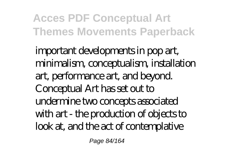important developments in pop art, minimalism, conceptualism, installation art, performance art, and beyond. Conceptual Art has set out to undermine two concepts associated with art - the production of objects to look at, and the act of contemplative

Page 84/164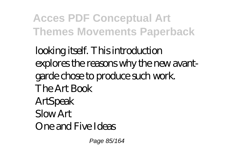looking itself. This introduction explores the reasons why the new avantgarde chose to produce such work. The Art Book ArtSpeak Slow Art One and Five Ideas

Page 85/164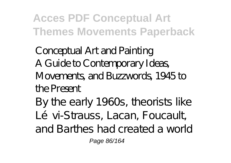Conceptual Art and Painting A Guide to Contemporary Ideas, Movements, and Buzzwords, 1945 to the Present

By the early 1960s, theorists like Lévi-Strauss, Lacan, Foucault and Barthes had created a world Page 86/164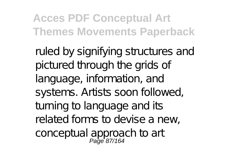ruled by signifying structures and pictured through the grids of language, information, and systems. Artists soon followed, turning to language and its related forms to devise a new, conceptual approach to art<br>Page 87/164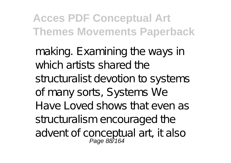making. Examining the ways in which artists shared the structuralist devotion to systems of many sorts, Systems We Have Loved shows that even as structuralism encouraged the advent of conceptual art, it also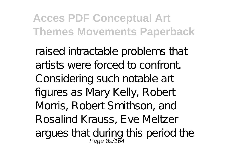raised intractable problems that artists were forced to confront. Considering such notable art figures as Mary Kelly, Robert Morris, Robert Smithson, and Rosalind Krauss, Eve Meltzer argues that during this period the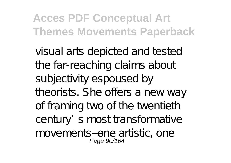visual arts depicted and tested the far-reaching claims about subjectivity espoused by theorists. She offers a new way of framing two of the twentieth century's most transformative movements—one artistic, one Page 90/164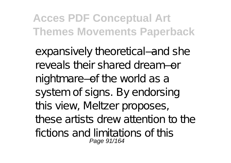expansively theoretical—and she reveals their shared dream—or nightmare—of the world as a system of signs. By endorsing this view, Meltzer proposes, these artists drew attention to the fictions and limitations of this Page 91/164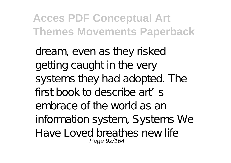dream, even as they risked getting caught in the very systems they had adopted. The first book to describe art's embrace of the world as an information system, Systems We Have Loved breathes new life Page 92/164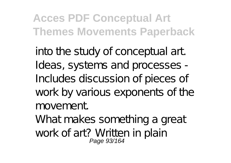into the study of conceptual art. Ideas, systems and processes - Includes discussion of pieces of work by various exponents of the movement.

What makes something a great work of art? Written in plain<br>Page 93/164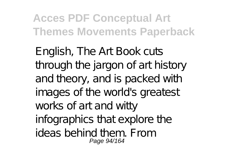English, The Art Book cuts through the jargon of art history and theory, and is packed with images of the world's greatest works of art and witty infographics that explore the ideas behind them. From Page 94/164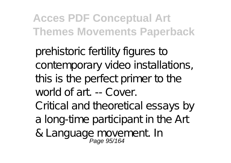prehistoric fertility figures to contemporary video installations, this is the perfect primer to the world of art. -- Cover. Critical and theoretical essays by

- a long-time participant in the Art
- & Language movement In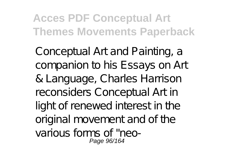Conceptual Art and Painting, a companion to his Essays on Art & Language, Charles Harrison reconsiders Conceptual Art in light of renewed interest in the original movement and of the various forms of "neo-Page 96/164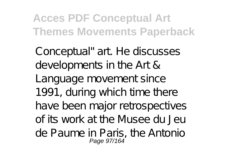Conceptual" art. He discusses developments in the Art & Language movement since 1991, during which time there have been major retrospectives of its work at the Musee du Jeu de Paume in Paris, the Antonio Page 97/164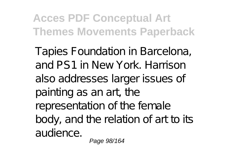Tapies Foundation in Barcelona, and PS1 in New York. Harrison also addresses larger issues of painting as an art, the representation of the female body, and the relation of art to its audience.

Page 98/164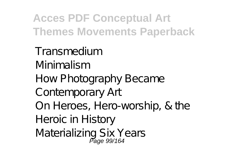Transmedium Minimalism How Photography Became Contemporary Art On Heroes, Hero-worship, & the Heroic in History Materializing Six Years<br>Page 99/164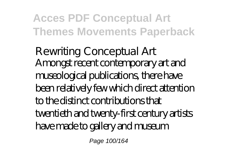Rewriting Conceptual Art Amongst recent contemporary art and museological publications, there have been relatively few which direct attention to the distinct contributions that twentieth and twenty-first century artists have made to gallery and museum

Page 100/164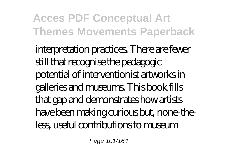interpretation practices. There are fewer still that recognise the pedagogic potential of interventionist artworks in galleries and museums. This book fills that gap and demonstrates how artists have been making curious but, none-theless, useful contributions to museum

Page 101/164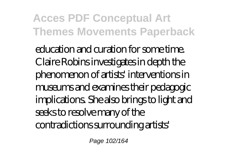education and curation for some time. Claire Robins investigates in depth the phenomenon of artists' interventions in museums and examines their pedagogic implications. She also brings to light and seeks to resolve many of the contradictions surrounding artists'

Page 102/164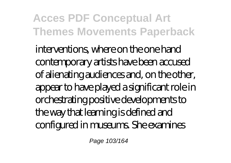interventions, where on the one hand contemporary artists have been accused of alienating audiences and, on the other, appear to have played a significant role in orchestrating positive developments to the way that learning is defined and configured in museums. She examines

Page 103/164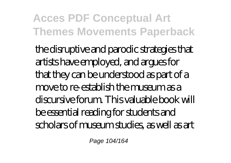the disruptive and parodic strategies that artists have employed, and argues for that they can be understood as part of a move to re-establish the museum as a discursive forum. This valuable book will be essential reading for students and scholars of museum studies, as well as art

Page 104/164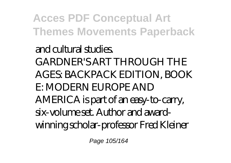and cultural studies. GARDNER'S ART THROUGH THE AGES: BACKPACK EDITION, BOOK E: MODERN EUROPE AND AMERICA is part of an easy-to-carry, six-volume set. Author and awardwinning scholar-professor Fred Kleiner

Page 105/164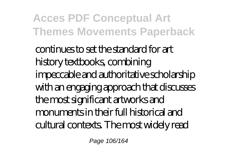continues to set the standard for art history textbooks, combining impeccable and authoritative scholarship with an engaging approach that discusses the most significant artworks and monuments in their full historical and cultural contexts. The most widely read

Page 106/164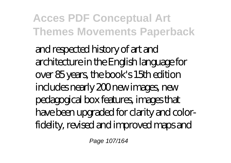and respected history of art and architecture in the English language for over 85 years, the book's 15th edition includes nearly 200 new images, new pedagogical box features, images that have been upgraded for clarity and colorfidelity, revised and improved maps and

Page 107/164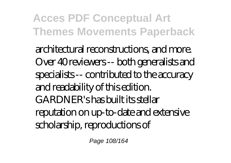architectural reconstructions, and more. Over 40 reviewers -- both generalists and specialists -- contributed to the accuracy and readability of this edition. GARDNER's has built its stellar reputation on up-to-date and extensive scholarship, reproductions of

Page 108/164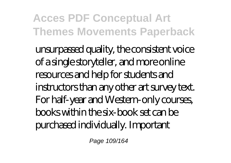unsurpassed quality, the consistent voice of a single storyteller, and more online resources and help for students and instructors than any other art survey text. For half-year and Western-only courses, books within the six-book set can be purchased individually. Important

Page 109/164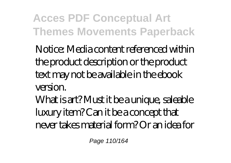Notice: Media content referenced within the product description or the product text may not be available in the ebook version.

What is art? Must it be a unique, saleable luxury item? Can it be a concept that never takes material form? Or an idea for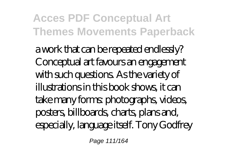a work that can be repeated endlessly? Conceptual art favours an engagement with such questions. As the variety of illustrations in this book shows, it can take many forms: photographs, videos, posters, billboards, charts, plans and, especially, language itself. Tony Godfrey

Page 111/164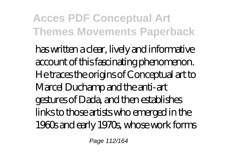has written a clear, lively and informative account of this fascinating phenomenon. He traces the origins of Conceptual art to Marcel Duchamp and the anti-art gestures of Dada, and then establishes links to those artists who emerged in the 1960s and early 1970s, whose work forms

Page 112/164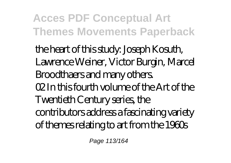the heart of this study: Joseph Kosuth, Lawrence Weiner, Victor Burgin, Marcel Broodthaers and many others. 02 In this fourth volume of the Art of the Twentieth Century series, the contributors address a fascinating variety of themes relating to art from the 1960s

Page 113/164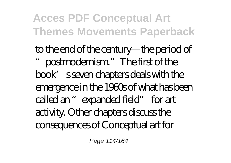to the end of the century—the period of postmodernism." The first of the book's seven chapters deals with the emergence in the 1960s of what has been called an "expanded field" for art activity. Other chapters discuss the consequences of Conceptual art for

Page 114/164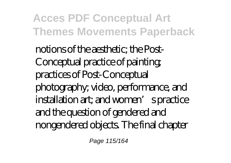notions of the aesthetic; the Post-Conceptual practice of painting; practices of Post-Conceptual photography; video, performance, and installation art; and women' spractice and the question of gendered and nongendered objects. The final chapter

Page 115/164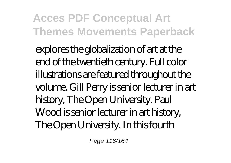explores the globalization of art at the end of the twentieth century. Full color illustrations are featured throughout the volume. Gill Perry is senior lecturer in art history, The Open University. Paul Wood is senior lecturer in art history, The Open University. In this fourth

Page 116/164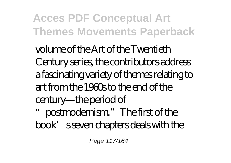volume of the Art of the Twentieth Century series, the contributors address a fascinating variety of themes relating to art from the 1960s to the end of the century—the period of postmodernism." The first of the book's seven chapters deals with the

Page 117/164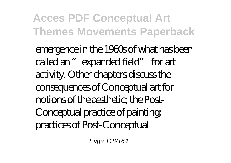emergence in the 1960s of what has been called an "expanded field" for art activity. Other chapters discuss the consequences of Conceptual art for notions of the aesthetic; the Post-Conceptual practice of painting; practices of Post-Conceptual

Page 118/164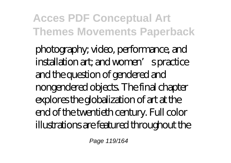photography; video, performance, and installation art; and women' spractice and the question of gendered and nongendered objects. The final chapter explores the globalization of art at the end of the twentieth century. Full color illustrations are featured throughout the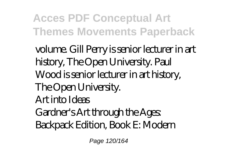volume. Gill Perry is senior lecturer in art history, The Open University. Paul Wood is senior lecturer in art history, The Open University. Art into Ideas Gardner's Art through the Ages: Backpack Edition, Book E: Modern

Page 120/164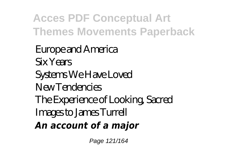Europe and America Six Years Systems We Have Loved New Tendencies The Experience of Looking, Sacred Images to James Turrell *An account of a major*

Page 121/164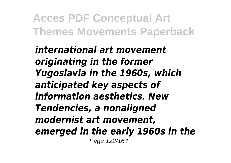*international art movement originating in the former Yugoslavia in the 1960s, which anticipated key aspects of information aesthetics. New Tendencies, a nonaligned modernist art movement, emerged in the early 1960s in the* Page 122/164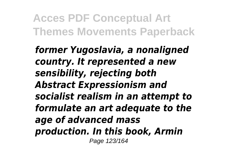*former Yugoslavia, a nonaligned country. It represented a new sensibility, rejecting both Abstract Expressionism and socialist realism in an attempt to formulate an art adequate to the age of advanced mass production. In this book, Armin* Page 123/164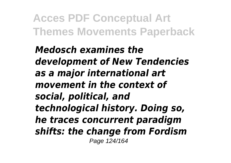*Medosch examines the development of New Tendencies as a major international art movement in the context of social, political, and technological history. Doing so, he traces concurrent paradigm shifts: the change from Fordism* Page 124/164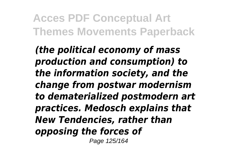*(the political economy of mass production and consumption) to the information society, and the change from postwar modernism to dematerialized postmodern art practices. Medosch explains that New Tendencies, rather than opposing the forces of* Page 125/164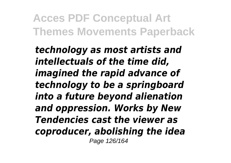*technology as most artists and intellectuals of the time did, imagined the rapid advance of technology to be a springboard into a future beyond alienation and oppression. Works by New Tendencies cast the viewer as coproducer, abolishing the idea* Page 126/164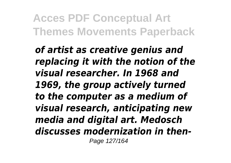*of artist as creative genius and replacing it with the notion of the visual researcher. In 1968 and 1969, the group actively turned to the computer as a medium of visual research, anticipating new media and digital art. Medosch discusses modernization in then-*Page 127/164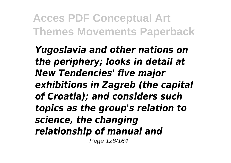*Yugoslavia and other nations on the periphery; looks in detail at New Tendencies' five major exhibitions in Zagreb (the capital of Croatia); and considers such topics as the group's relation to science, the changing relationship of manual and* Page 128/164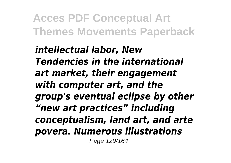*intellectual labor, New Tendencies in the international art market, their engagement with computer art, and the group's eventual eclipse by other "new art practices" including conceptualism, land art, and arte povera. Numerous illustrations* Page 129/164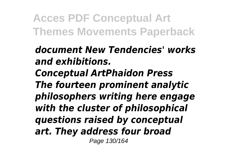*document New Tendencies' works and exhibitions.*

*Conceptual ArtPhaidon Press The fourteen prominent analytic philosophers writing here engage with the cluster of philosophical questions raised by conceptual art. They address four broad* Page 130/164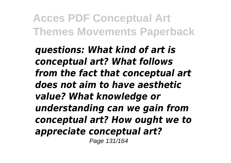*questions: What kind of art is conceptual art? What follows from the fact that conceptual art does not aim to have aesthetic value? What knowledge or understanding can we gain from conceptual art? How ought we to appreciate conceptual art?* Page 131/164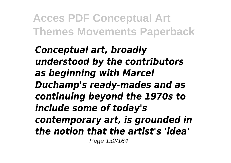*Conceptual art, broadly understood by the contributors as beginning with Marcel Duchamp's ready-mades and as continuing beyond the 1970s to include some of today's contemporary art, is grounded in the notion that the artist's 'idea'* Page 132/164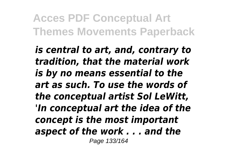*is central to art, and, contrary to tradition, that the material work is by no means essential to the art as such. To use the words of the conceptual artist Sol LeWitt, 'In conceptual art the idea of the concept is the most important aspect of the work . . . and the* Page 133/164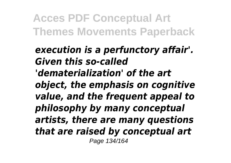*execution is a perfunctory affair'. Given this so-called 'dematerialization' of the art object, the emphasis on cognitive value, and the frequent appeal to philosophy by many conceptual artists, there are many questions that are raised by conceptual art* Page 134/164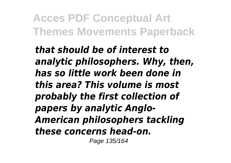*that should be of interest to analytic philosophers. Why, then, has so little work been done in this area? This volume is most probably the first collection of papers by analytic Anglo-American philosophers tackling these concerns head-on.*

Page 135/164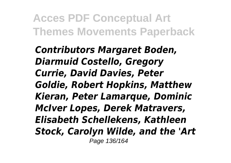*Contributors Margaret Boden, Diarmuid Costello, Gregory Currie, David Davies, Peter Goldie, Robert Hopkins, Matthew Kieran, Peter Lamarque, Dominic McIver Lopes, Derek Matravers, Elisabeth Schellekens, Kathleen Stock, Carolyn Wilde, and the 'Art* Page 136/164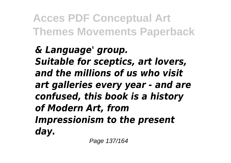*& Language' group. Suitable for sceptics, art lovers, and the millions of us who visit art galleries every year - and are confused, this book is a history of Modern Art, from Impressionism to the present day.*

Page 137/164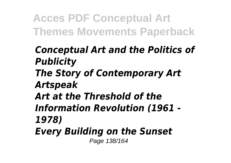- *Conceptual Art and the Politics of Publicity*
- *The Story of Contemporary Art Artspeak*
- *Art at the Threshold of the*
- *Information Revolution (1961 - 1978)*
- *Every Building on the Sunset*

Page 138/164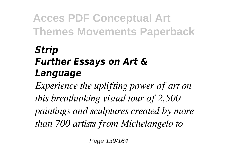#### *Strip Further Essays on Art & Language*

*Experience the uplifting power of art on this breathtaking visual tour of 2,500 paintings and sculptures created by more than 700 artists from Michelangelo to*

Page 139/164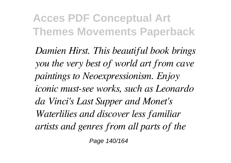*Damien Hirst. This beautiful book brings you the very best of world art from cave paintings to Neoexpressionism. Enjoy iconic must-see works, such as Leonardo da Vinci's Last Supper and Monet's Waterlilies and discover less familiar artists and genres from all parts of the*

Page 140/164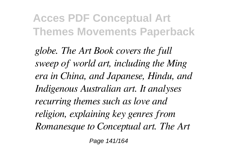*globe. The Art Book covers the full sweep of world art, including the Ming era in China, and Japanese, Hindu, and Indigenous Australian art. It analyses recurring themes such as love and religion, explaining key genres from Romanesque to Conceptual art. The Art*

Page 141/164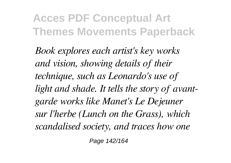*Book explores each artist's key works and vision, showing details of their technique, such as Leonardo's use of light and shade. It tells the story of avantgarde works like Manet's Le Dejeuner sur l'herbe (Lunch on the Grass), which scandalised society, and traces how one*

Page 142/164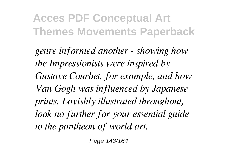*genre informed another - showing how the Impressionists were inspired by Gustave Courbet, for example, and how Van Gogh was influenced by Japanese prints. Lavishly illustrated throughout, look no further for your essential guide to the pantheon of world art.*

Page 143/164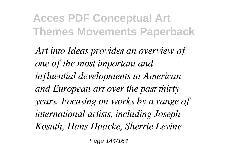*Art into Ideas provides an overview of one of the most important and influential developments in American and European art over the past thirty years. Focusing on works by a range of international artists, including Joseph Kosuth, Hans Haacke, Sherrie Levine*

Page 144/164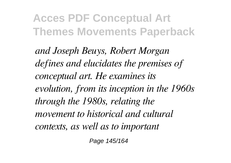*and Joseph Beuys, Robert Morgan defines and elucidates the premises of conceptual art. He examines its evolution, from its inception in the 1960s through the 1980s, relating the movement to historical and cultural contexts, as well as to important*

Page 145/164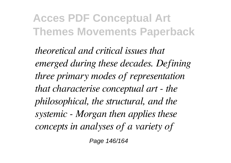*theoretical and critical issues that emerged during these decades. Defining three primary modes of representation that characterise conceptual art - the philosophical, the structural, and the systemic - Morgan then applies these concepts in analyses of a variety of*

Page 146/164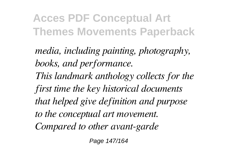*media, including painting, photography, books, and performance. This landmark anthology collects for the first time the key historical documents that helped give definition and purpose to the conceptual art movement. Compared to other avant-garde*

Page 147/164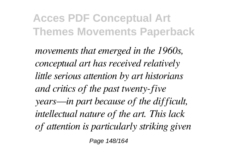*movements that emerged in the 1960s, conceptual art has received relatively little serious attention by art historians and critics of the past twenty-five years—in part because of the difficult, intellectual nature of the art. This lack of attention is particularly striking given*

Page 148/164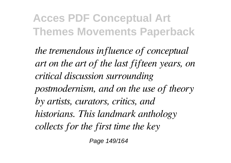*the tremendous influence of conceptual art on the art of the last fifteen years, on critical discussion surrounding postmodernism, and on the use of theory by artists, curators, critics, and historians. This landmark anthology collects for the first time the key*

Page 149/164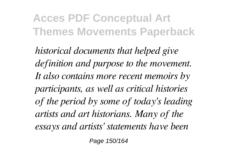*historical documents that helped give definition and purpose to the movement. It also contains more recent memoirs by participants, as well as critical histories of the period by some of today's leading artists and art historians. Many of the essays and artists' statements have been*

Page 150/164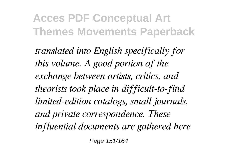*translated into English specifically for this volume. A good portion of the exchange between artists, critics, and theorists took place in difficult-to-find limited-edition catalogs, small journals, and private correspondence. These influential documents are gathered here*

Page 151/164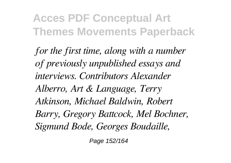*for the first time, along with a number of previously unpublished essays and interviews. Contributors Alexander Alberro, Art & Language, Terry Atkinson, Michael Baldwin, Robert Barry, Gregory Battcock, Mel Bochner, Sigmund Bode, Georges Boudaille,*

Page 152/164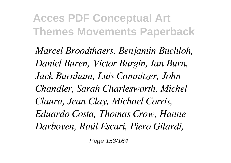*Marcel Broodthaers, Benjamin Buchloh, Daniel Buren, Victor Burgin, Ian Burn, Jack Burnham, Luis Camnitzer, John Chandler, Sarah Charlesworth, Michel Claura, Jean Clay, Michael Corris, Eduardo Costa, Thomas Crow, Hanne Darboven, Raúl Escari, Piero Gilardi,*

Page 153/164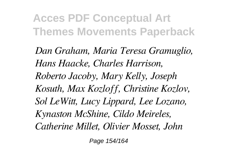*Dan Graham, Maria Teresa Gramuglio, Hans Haacke, Charles Harrison, Roberto Jacoby, Mary Kelly, Joseph Kosuth, Max Kozloff, Christine Kozlov, Sol LeWitt, Lucy Lippard, Lee Lozano, Kynaston McShine, Cildo Meireles, Catherine Millet, Olivier Mosset, John*

Page 154/164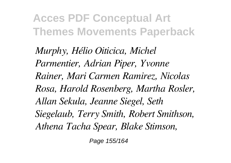*Murphy, Hélio Oiticica, Michel Parmentier, Adrian Piper, Yvonne Rainer, Mari Carmen Ramirez, Nicolas Rosa, Harold Rosenberg, Martha Rosler, Allan Sekula, Jeanne Siegel, Seth Siegelaub, Terry Smith, Robert Smithson, Athena Tacha Spear, Blake Stimson,*

Page 155/164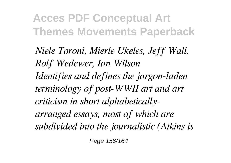*Niele Toroni, Mierle Ukeles, Jeff Wall, Rolf Wedewer, Ian Wilson Identifies and defines the jargon-laden terminology of post-WWII art and art criticism in short alphabeticallyarranged essays, most of which are subdivided into the journalistic (Atkins is*

Page 156/164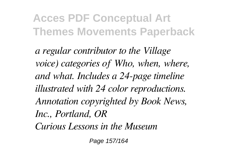*a regular contributor to the Village voice) categories of Who, when, where, and what. Includes a 24-page timeline illustrated with 24 color reproductions. Annotation copyrighted by Book News, Inc., Portland, OR Curious Lessons in the Museum*

Page 157/164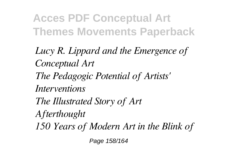*Lucy R. Lippard and the Emergence of Conceptual Art The Pedagogic Potential of Artists' Interventions The Illustrated Story of Art Afterthought 150 Years of Modern Art in the Blink of*

Page 158/164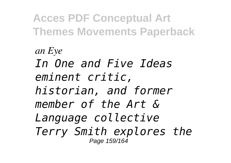*an Eye In One and Five Ideas eminent critic, historian, and former member of the Art & Language collective Terry Smith explores the* Page 159/164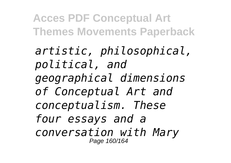*artistic, philosophical, political, and geographical dimensions of Conceptual Art and conceptualism. These four essays and a conversation with Mary* Page 160/164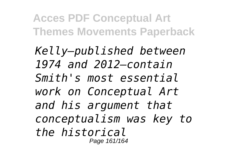*Kelly—published between 1974 and 2012—contain Smith's most essential work on Conceptual Art and his argument that conceptualism was key to the historical* Page 161/164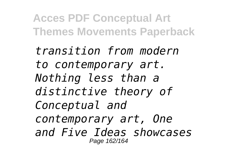*transition from modern to contemporary art. Nothing less than a distinctive theory of Conceptual and contemporary art, One and Five Ideas showcases* Page 162/164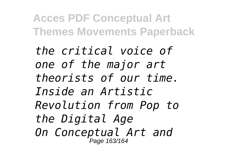*the critical voice of one of the major art theorists of our time. Inside an Artistic Revolution from Pop to the Digital Age On Conceptual Art and* Page 163/164